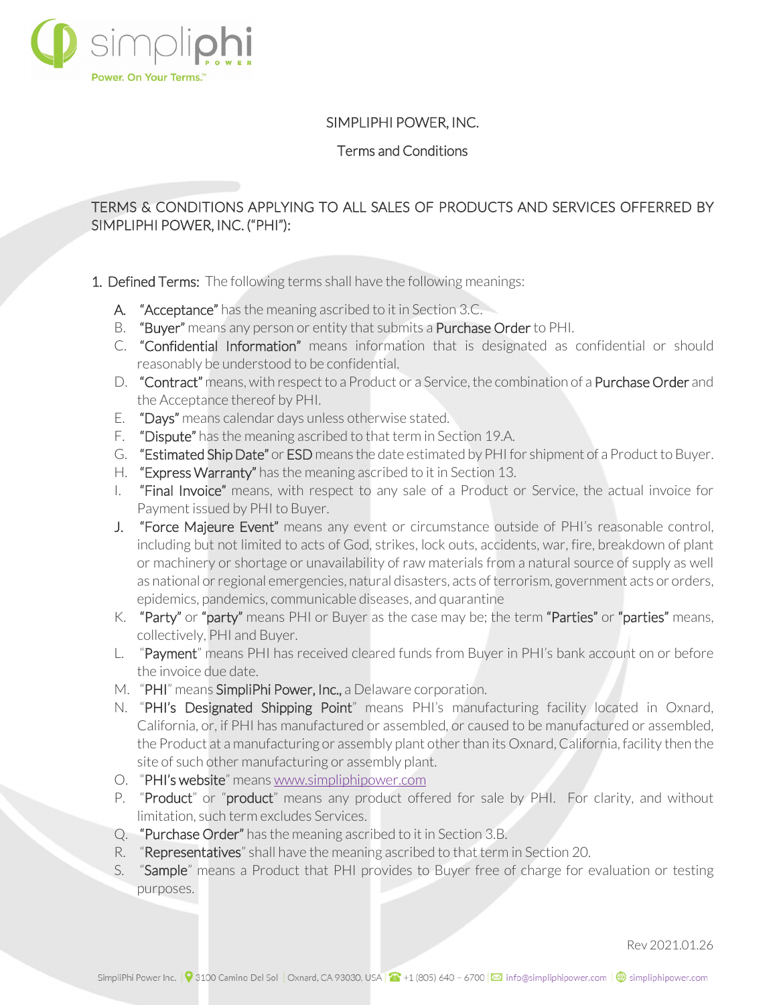

## SIMPLIPHI POWER, INC.

Terms and Conditions

# TERMS & CONDITIONS APPLYING TO ALL SALES OF PRODUCTS AND SERVICES OFFERRED BY SIMPLIPHI POWER, INC. ("PHI"):

- 1. Defined Terms: The following terms shall have the following meanings:
	- A. "Acceptance" has the meaning ascribed to it in Section 3.C.
	- B. "Buyer" means any person or entity that submits a Purchase Order to PHI.
	- C. "Confidential Information" means information that is designated as confidential or should reasonably be understood to be confidential.
	- D. "Contract" means, with respect to a Product or a Service, the combination of a Purchase Order and the Acceptance thereof by PHI.
	- E. "Days" means calendar days unless otherwise stated.
	- F. "Dispute" has the meaning ascribed to that term in Section 19.A.
	- G. "Estimated Ship Date" or ESD means the date estimated by PHI for shipment of a Product to Buyer.
	- H. "Express Warranty" has the meaning ascribed to it in Section 13.
	- I. "Final Invoice" means, with respect to any sale of a Product or Service, the actual invoice for Payment issued by PHI to Buyer.
	- J. "Force Majeure Event" means any event or circumstance outside of PHI's reasonable control, including but not limited to acts of God, strikes, lock outs, accidents, war, fire, breakdown of plant or machinery or shortage or unavailability of raw materials from a natural source of supply as well as national or regional emergencies, natural disasters, acts of terrorism, government acts or orders, epidemics, pandemics, communicable diseases, and quarantine
	- K. "Party" or "party" means PHI or Buyer as the case may be; the term "Parties" or "parties" means, collectively, PHI and Buyer.
	- L. "Payment" means PHI has received cleared funds from Buyer in PHI's bank account on or before the invoice due date.
	- M. "PHI" means SimpliPhi Power, Inc., a Delaware corporation.
	- N. "PHI's Designated Shipping Point" means PHI's manufacturing facility located in Oxnard, California, or, if PHI has manufactured or assembled, or caused to be manufactured or assembled, the Product at a manufacturing or assembly plant other than its Oxnard, California, facility then the site of such other manufacturing or assembly plant.
	- O. "PHI's website" means [www.simpliphipower.com](http://www.simpliphipower.com/)
	- P. "Product" or "product" means any product offered for sale by PHI. For clarity, and without limitation, such term excludes Services.
	- Q. "Purchase Order" has the meaning ascribed to it in Section 3.B.
	- R. "Representatives" shall have the meaning ascribed to that term in Section 20.
	- S. "Sample" means a Product that PHI provides to Buyer free of charge for evaluation or testing purposes.

Rev 2021.01.26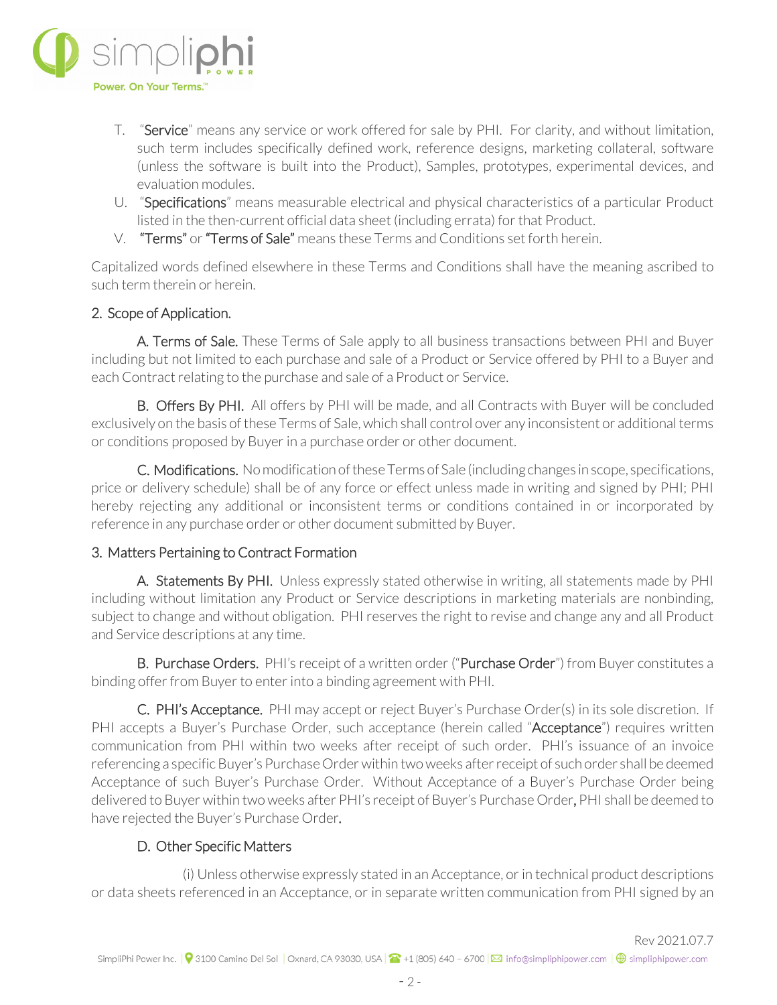

- T. "Service" means any service or work offered for sale by PHI. For clarity, and without limitation, such term includes specifically defined work, reference designs, marketing collateral, software (unless the software is built into the Product), Samples, prototypes, experimental devices, and evaluation modules.
- U. "Specifications" means measurable electrical and physical characteristics of a particular Product listed in the then-current official data sheet (including errata) for that Product.
- V. "Terms" or "Terms of Sale" means these Terms and Conditions set forth herein.

Capitalized words defined elsewhere in these Terms and Conditions shall have the meaning ascribed to such term therein or herein.

## 2. Scope of Application.

A. Terms of Sale. These Terms of Sale apply to all business transactions between PHI and Buyer including but not limited to each purchase and sale of a Product or Service offered by PHI to a Buyer and each Contract relating to the purchase and sale of a Product or Service.

B. Offers By PHI. All offers by PHI will be made, and all Contracts with Buyer will be concluded exclusively on the basis of these Terms of Sale, which shall control over any inconsistent or additional terms or conditions proposed by Buyer in a purchase order or other document.

C. Modifications. No modification of these Terms of Sale (including changes in scope, specifications, price or delivery schedule) shall be of any force or effect unless made in writing and signed by PHI; PHI hereby rejecting any additional or inconsistent terms or conditions contained in or incorporated by reference in any purchase order or other document submitted by Buyer.

#### 3. Matters Pertaining to Contract Formation

A. Statements By PHI. Unless expressly stated otherwise in writing, all statements made by PHI including without limitation any Product or Service descriptions in marketing materials are nonbinding, subject to change and without obligation. PHI reserves the right to revise and change any and all Product and Service descriptions at any time.

B. Purchase Orders. PHI's receipt of a written order ("Purchase Order") from Buyer constitutes a binding offer from Buyer to enter into a binding agreement with PHI.

C. PHI's Acceptance. PHI may accept or reject Buyer's Purchase Order(s) in its sole discretion. If PHI accepts a Buyer's Purchase Order, such acceptance (herein called "Acceptance") requires written communication from PHI within two weeks after receipt of such order. PHI's issuance of an invoice referencing a specific Buyer's Purchase Order within two weeks after receipt of such order shall be deemed Acceptance of such Buyer's Purchase Order. Without Acceptance of a Buyer's Purchase Order being delivered to Buyer within two weeks after PHI's receipt of Buyer's Purchase Order, PHI shall be deemed to have rejected the Buyer's Purchase Order.

## D. Other Specific Matters

 (i) Unless otherwise expressly stated in an Acceptance, or in technical product descriptions or data sheets referenced in an Acceptance, or in separate written communication from PHI signed by an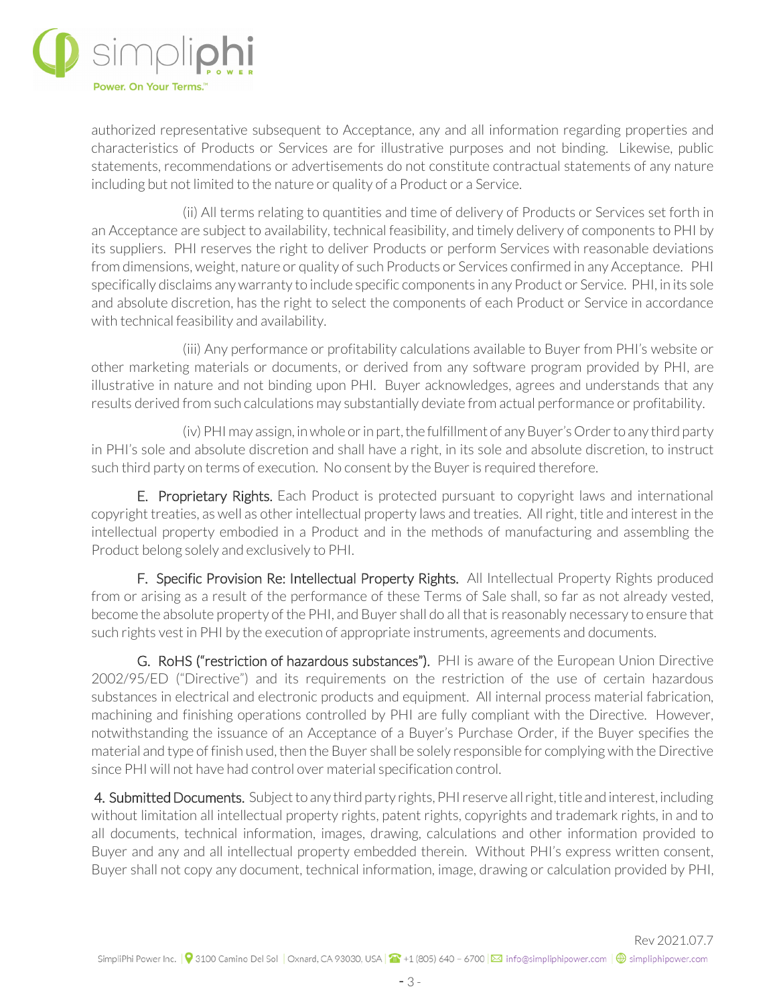

authorized representative subsequent to Acceptance, any and all information regarding properties and characteristics of Products or Services are for illustrative purposes and not binding. Likewise, public statements, recommendations or advertisements do not constitute contractual statements of any nature including but not limited to the nature or quality of a Product or a Service.

 (ii) All terms relating to quantities and time of delivery of Products or Services set forth in an Acceptance are subject to availability, technical feasibility, and timely delivery of components to PHI by its suppliers. PHI reserves the right to deliver Products or perform Services with reasonable deviations from dimensions, weight, nature or quality of such Products or Services confirmed in any Acceptance. PHI specifically disclaims any warranty to include specific components in any Product or Service. PHI, in its sole and absolute discretion, has the right to select the components of each Product or Service in accordance with technical feasibility and availability.

 (iii) Any performance or profitability calculations available to Buyer from PHI's website or other marketing materials or documents, or derived from any software program provided by PHI, are illustrative in nature and not binding upon PHI. Buyer acknowledges, agrees and understands that any results derived from such calculations may substantially deviate from actual performance or profitability.

(iv) PHI may assign, in whole or in part, the fulfillment of any Buyer's Order to any third party in PHI's sole and absolute discretion and shall have a right, in its sole and absolute discretion, to instruct such third party on terms of execution. No consent by the Buyer is required therefore.

E. Proprietary Rights. Each Product is protected pursuant to copyright laws and international copyright treaties, as well as other intellectual property laws and treaties. All right, title and interest in the intellectual property embodied in a Product and in the methods of manufacturing and assembling the Product belong solely and exclusively to PHI.

F. Specific Provision Re: Intellectual Property Rights. All Intellectual Property Rights produced from or arising as a result of the performance of these Terms of Sale shall, so far as not already vested, become the absolute property of the PHI, and Buyer shall do all that is reasonably necessary to ensure that such rights vest in PHI by the execution of appropriate instruments, agreements and documents.

G. RoHS ("restriction of hazardous substances"). PHI is aware of the European Union Directive 2002/95/ED ("Directive") and its requirements on the restriction of the use of certain hazardous substances in electrical and electronic products and equipment. All internal process material fabrication, machining and finishing operations controlled by PHI are fully compliant with the Directive. However, notwithstanding the issuance of an Acceptance of a Buyer's Purchase Order, if the Buyer specifies the material and type of finish used, then the Buyer shall be solely responsible for complying with the Directive since PHI will not have had control over material specification control.

4. Submitted Documents. Subject to any third party rights, PHI reserve all right, title and interest, including without limitation all intellectual property rights, patent rights, copyrights and trademark rights, in and to all documents, technical information, images, drawing, calculations and other information provided to Buyer and any and all intellectual property embedded therein. Without PHI's express written consent, Buyer shall not copy any document, technical information, image, drawing or calculation provided by PHI,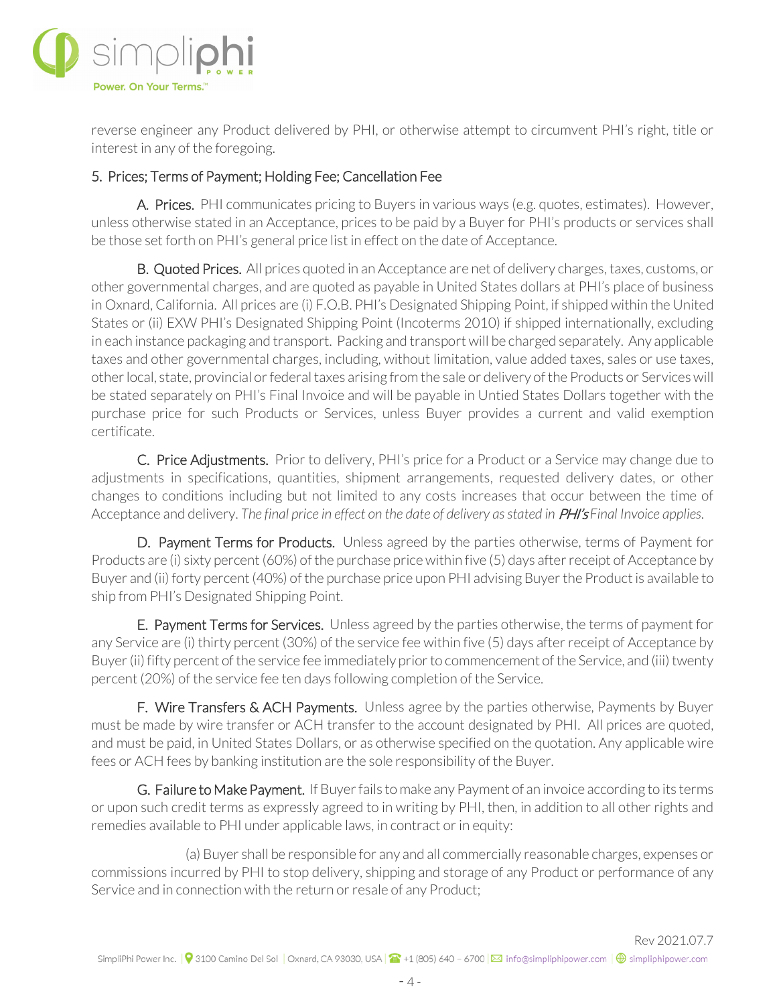

reverse engineer any Product delivered by PHI, or otherwise attempt to circumvent PHI's right, title or interest in any of the foregoing.

## 5. Prices; Terms of Payment; Holding Fee; Cancellation Fee

 A. Prices. PHI communicates pricing to Buyers in various ways (e.g. quotes, estimates). However, unless otherwise stated in an Acceptance, prices to be paid by a Buyer for PHI's products or services shall be those set forth on PHI's general price list in effect on the date of Acceptance.

B. Quoted Prices. All prices quoted in an Acceptance are net of delivery charges, taxes, customs, or other governmental charges, and are quoted as payable in United States dollars at PHI's place of business in Oxnard, California. All prices are (i) F.O.B. PHI's Designated Shipping Point, if shipped within the United States or (ii) EXW PHI's Designated Shipping Point (Incoterms 2010) if shipped internationally, excluding in each instance packaging and transport. Packing and transport will be charged separately. Any applicable taxes and other governmental charges, including, without limitation, value added taxes, sales or use taxes, other local, state, provincial or federal taxes arising from the sale or delivery of the Products or Services will be stated separately on PHI's Final Invoice and will be payable in Untied States Dollars together with the purchase price for such Products or Services, unless Buyer provides a current and valid exemption certificate.

C. Price Adjustments. Prior to delivery, PHI's price for a Product or a Service may change due to adjustments in specifications, quantities, shipment arrangements, requested delivery dates, or other changes to conditions including but not limited to any costs increases that occur between the time of Acceptance and delivery. *The final price in effect on the date of delivery as stated in* PHI's *Final Invoice applies*.

D. Payment Terms for Products. Unless agreed by the parties otherwise, terms of Payment for Products are (i) sixty percent (60%) of the purchase price within five (5) days after receipt of Acceptance by Buyer and (ii) forty percent (40%) of the purchase price upon PHI advising Buyer the Product is available to ship from PHI's Designated Shipping Point.

**E. Payment Terms for Services.** Unless agreed by the parties otherwise, the terms of payment for any Service are (i) thirty percent (30%) of the service fee within five (5) days after receipt of Acceptance by Buyer (ii) fifty percent of the service fee immediately prior to commencement of the Service, and (iii) twenty percent (20%) of the service fee ten days following completion of the Service.

F. Wire Transfers & ACH Payments. Unless agree by the parties otherwise, Payments by Buyer must be made by wire transfer or ACH transfer to the account designated by PHI. All prices are quoted, and must be paid, in United States Dollars, or as otherwise specified on the quotation. Any applicable wire fees or ACH fees by banking institution are the sole responsibility of the Buyer.

 G. Failure to Make Payment. If Buyer fails to make any Payment of an invoice according to its terms or upon such credit terms as expressly agreed to in writing by PHI, then, in addition to all other rights and remedies available to PHI under applicable laws, in contract or in equity:

(a) Buyer shall be responsible for any and all commercially reasonable charges, expenses or commissions incurred by PHI to stop delivery, shipping and storage of any Product or performance of any Service and in connection with the return or resale of any Product;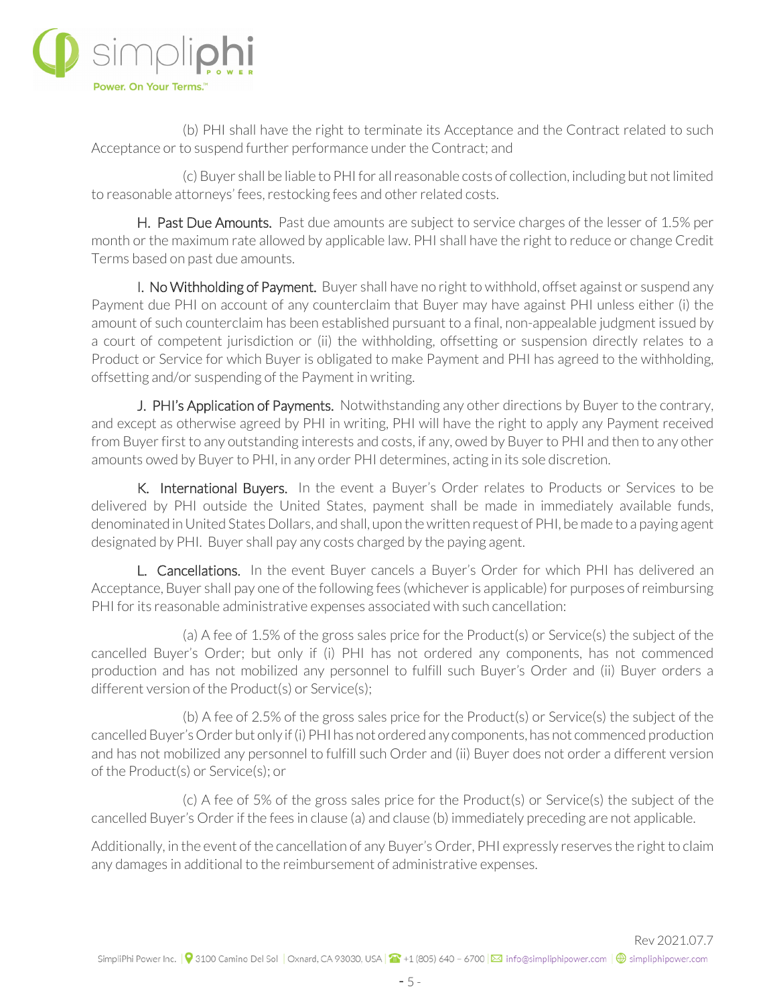

(b) PHI shall have the right to terminate its Acceptance and the Contract related to such Acceptance or to suspend further performance under the Contract; and

(c) Buyer shall be liable to PHI for all reasonable costs of collection, including but not limited to reasonable attorneys' fees, restocking fees and other related costs.

H. Past Due Amounts. Past due amounts are subject to service charges of the lesser of 1.5% per month or the maximum rate allowed by applicable law. PHI shall have the right to reduce or change Credit Terms based on past due amounts.

I. No Withholding of Payment. Buyer shall have no right to withhold, offset against or suspend any Payment due PHI on account of any counterclaim that Buyer may have against PHI unless either (i) the amount of such counterclaim has been established pursuant to a final, non-appealable judgment issued by a court of competent jurisdiction or (ii) the withholding, offsetting or suspension directly relates to a Product or Service for which Buyer is obligated to make Payment and PHI has agreed to the withholding, offsetting and/or suspending of the Payment in writing.

J. PHI's Application of Payments. Notwithstanding any other directions by Buyer to the contrary, and except as otherwise agreed by PHI in writing, PHI will have the right to apply any Payment received from Buyer first to any outstanding interests and costs, if any, owed by Buyer to PHI and then to any other amounts owed by Buyer to PHI, in any order PHI determines, acting in its sole discretion.

K. International Buyers. In the event a Buyer's Order relates to Products or Services to be delivered by PHI outside the United States, payment shall be made in immediately available funds, denominated in United States Dollars, and shall, upon the written request of PHI, be made to a paying agent designated by PHI. Buyer shall pay any costs charged by the paying agent.

L. Cancellations. In the event Buyer cancels a Buyer's Order for which PHI has delivered an Acceptance, Buyer shall pay one of the following fees (whichever is applicable) for purposes of reimbursing PHI for its reasonable administrative expenses associated with such cancellation:

(a) A fee of 1.5% of the gross sales price for the Product(s) or Service(s) the subject of the cancelled Buyer's Order; but only if (i) PHI has not ordered any components, has not commenced production and has not mobilized any personnel to fulfill such Buyer's Order and (ii) Buyer orders a different version of the Product(s) or Service(s);

(b) A fee of 2.5% of the gross sales price for the Product(s) or Service(s) the subject of the cancelled Buyer's Order but only if (i) PHI has not ordered any components, has not commenced production and has not mobilized any personnel to fulfill such Order and (ii) Buyer does not order a different version of the Product(s) or Service(s); or

(c) A fee of 5% of the gross sales price for the Product(s) or Service(s) the subject of the cancelled Buyer's Order if the fees in clause (a) and clause (b) immediately preceding are not applicable.

Additionally, in the event of the cancellation of any Buyer's Order, PHI expressly reserves the right to claim any damages in additional to the reimbursement of administrative expenses.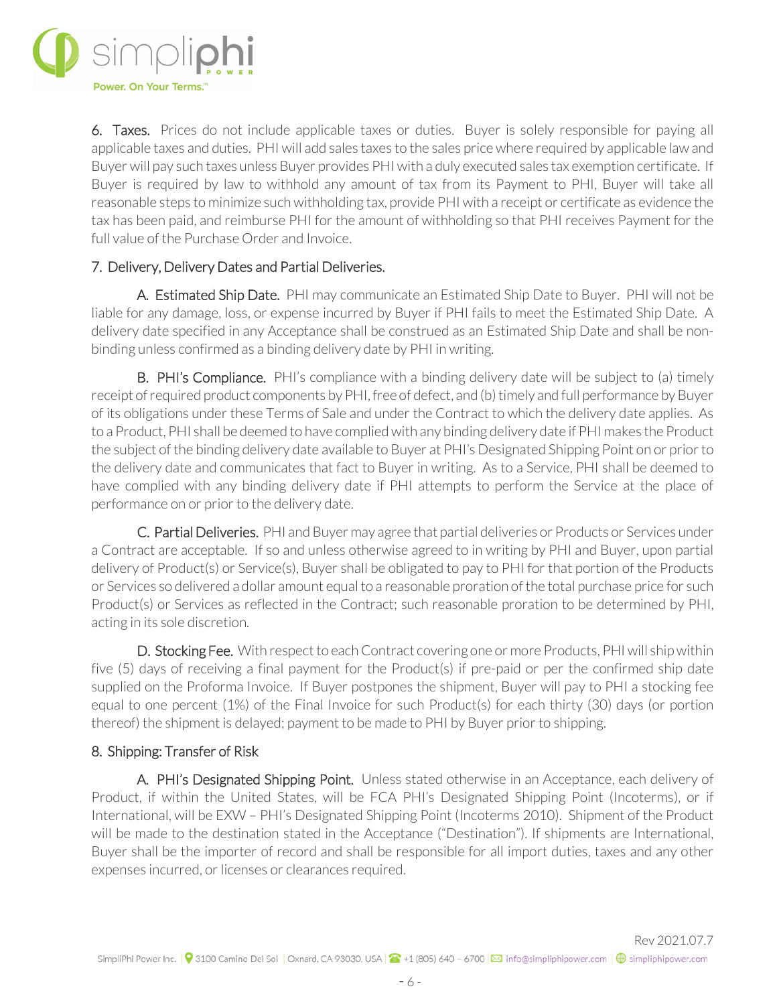

6. Taxes. Prices do not include applicable taxes or duties. Buyer is solely responsible for paying all applicable taxes and duties. PHI will add sales taxes to the sales price where required by applicable law and Buyer will pay such taxes unless Buyer provides PHI with a duly executed sales tax exemption certificate. If Buyer is required by law to withhold any amount of tax from its Payment to PHI, Buyer will take all reasonable steps to minimize such withholding tax, provide PHI with a receipt or certificate as evidence the tax has been paid, and reimburse PHI for the amount of withholding so that PHI receives Payment for the full value of the Purchase Order and Invoice.

## 7. Delivery, Delivery Dates and Partial Deliveries.

 A. Estimated Ship Date. PHI may communicate an Estimated Ship Date to Buyer. PHI will not be liable for any damage, loss, or expense incurred by Buyer if PHI fails to meet the Estimated Ship Date. A delivery date specified in any Acceptance shall be construed as an Estimated Ship Date and shall be nonbinding unless confirmed as a binding delivery date by PHI in writing.

 B. PHI's Compliance. PHI's compliance with a binding delivery date will be subject to (a) timely receipt of required product components by PHI, free of defect, and (b) timely and full performance by Buyer of its obligations under these Terms of Sale and under the Contract to which the delivery date applies. As to a Product, PHI shall be deemed to have complied with any binding delivery date if PHI makes the Product the subject of the binding delivery date available to Buyer at PHI's Designated Shipping Point on or prior to the delivery date and communicates that fact to Buyer in writing. As to a Service, PHI shall be deemed to have complied with any binding delivery date if PHI attempts to perform the Service at the place of performance on or prior to the delivery date.

C. Partial Deliveries. PHI and Buyer may agree that partial deliveries or Products or Services under a Contract are acceptable. If so and unless otherwise agreed to in writing by PHI and Buyer, upon partial delivery of Product(s) or Service(s), Buyer shall be obligated to pay to PHI for that portion of the Products or Services so delivered a dollar amount equal to a reasonable proration of the total purchase price for such Product(s) or Services as reflected in the Contract; such reasonable proration to be determined by PHI, acting in its sole discretion.

D. Stocking Fee. With respect to each Contract covering one or more Products, PHI will ship within five (5) days of receiving a final payment for the Product(s) if pre-paid or per the confirmed ship date supplied on the Proforma Invoice. If Buyer postpones the shipment, Buyer will pay to PHI a stocking fee equal to one percent (1%) of the Final Invoice for such Product(s) for each thirty (30) days (or portion thereof) the shipment is delayed; payment to be made to PHI by Buyer prior to shipping.

#### 8. Shipping: Transfer of Risk

 A. PHI's Designated Shipping Point. Unless stated otherwise in an Acceptance, each delivery of Product, if within the United States, will be FCA PHI's Designated Shipping Point (Incoterms), or if International, will be EXW – PHI's Designated Shipping Point (Incoterms 2010). Shipment of the Product will be made to the destination stated in the Acceptance ("Destination"). If shipments are International, Buyer shall be the importer of record and shall be responsible for all import duties, taxes and any other expenses incurred, or licenses or clearances required.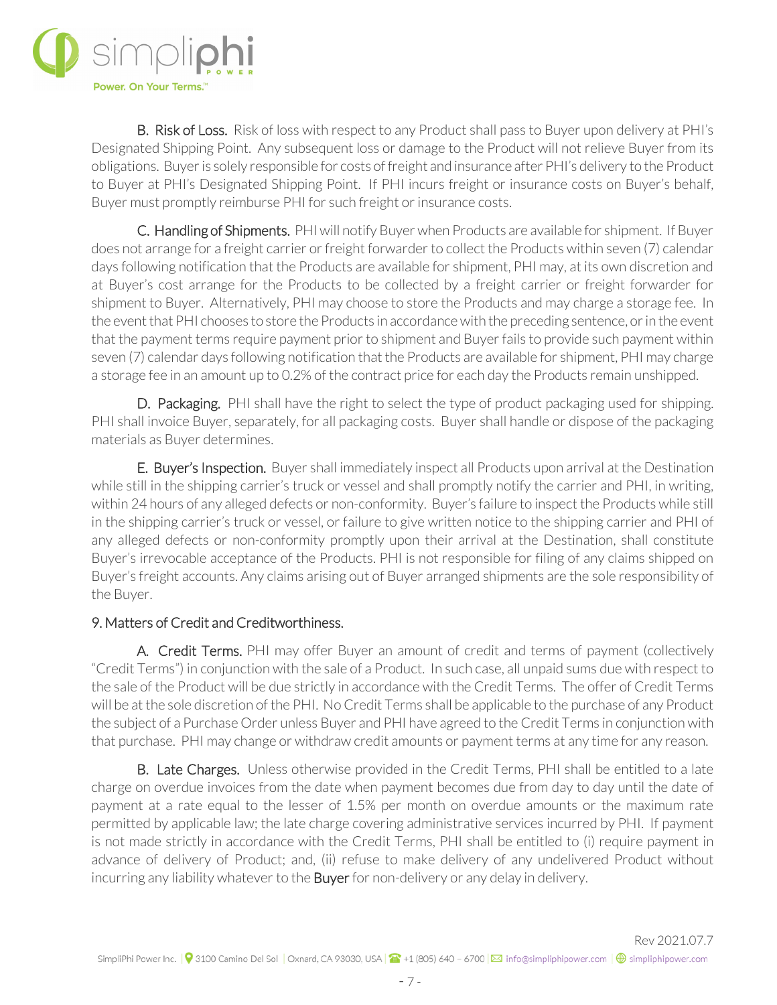

**B. Risk of Loss.** Risk of loss with respect to any Product shall pass to Buyer upon delivery at PHI's Designated Shipping Point. Any subsequent loss or damage to the Product will not relieve Buyer from its obligations. Buyer is solely responsible for costs of freight and insurance after PHI's delivery to the Product to Buyer at PHI's Designated Shipping Point. If PHI incurs freight or insurance costs on Buyer's behalf, Buyer must promptly reimburse PHI for such freight or insurance costs.

C. Handling of Shipments. PHI will notify Buyer when Products are available for shipment. If Buyer does not arrange for a freight carrier or freight forwarder to collect the Products within seven (7) calendar days following notification that the Products are available for shipment, PHI may, at its own discretion and at Buyer's cost arrange for the Products to be collected by a freight carrier or freight forwarder for shipment to Buyer. Alternatively, PHI may choose to store the Products and may charge a storage fee. In the event that PHI chooses to store the Products in accordance with the preceding sentence, or in the event that the payment terms require payment prior to shipment and Buyer fails to provide such payment within seven (7) calendar days following notification that the Products are available for shipment, PHI may charge a storage fee in an amount up to 0.2% of the contract price for each day the Products remain unshipped.

D. Packaging. PHI shall have the right to select the type of product packaging used for shipping. PHI shall invoice Buyer, separately, for all packaging costs. Buyer shall handle or dispose of the packaging materials as Buyer determines.

E. Buyer's Inspection. Buyer shall immediately inspect all Products upon arrival at the Destination while still in the shipping carrier's truck or vessel and shall promptly notify the carrier and PHI, in writing, within 24 hours of any alleged defects or non-conformity. Buyer's failure to inspect the Products while still in the shipping carrier's truck or vessel, or failure to give written notice to the shipping carrier and PHI of any alleged defects or non-conformity promptly upon their arrival at the Destination, shall constitute Buyer's irrevocable acceptance of the Products. PHI is not responsible for filing of any claims shipped on Buyer's freight accounts. Any claims arising out of Buyer arranged shipments are the sole responsibility of the Buyer.

## 9. Matters of Credit and Creditworthiness.

 A. Credit Terms. PHI may offer Buyer an amount of credit and terms of payment (collectively "Credit Terms") in conjunction with the sale of a Product. In such case, all unpaid sums due with respect to the sale of the Product will be due strictly in accordance with the Credit Terms. The offer of Credit Terms will be at the sole discretion of the PHI. No Credit Terms shall be applicable to the purchase of any Product the subject of a Purchase Order unless Buyer and PHI have agreed to the Credit Terms in conjunction with that purchase. PHI may change or withdraw credit amounts or payment terms at any time for any reason.

**B. Late Charges.** Unless otherwise provided in the Credit Terms, PHI shall be entitled to a late charge on overdue invoices from the date when payment becomes due from day to day until the date of payment at a rate equal to the lesser of 1.5% per month on overdue amounts or the maximum rate permitted by applicable law; the late charge covering administrative services incurred by PHI. If payment is not made strictly in accordance with the Credit Terms, PHI shall be entitled to (i) require payment in advance of delivery of Product; and, (ii) refuse to make delivery of any undelivered Product without incurring any liability whatever to the Buyer for non-delivery or any delay in delivery.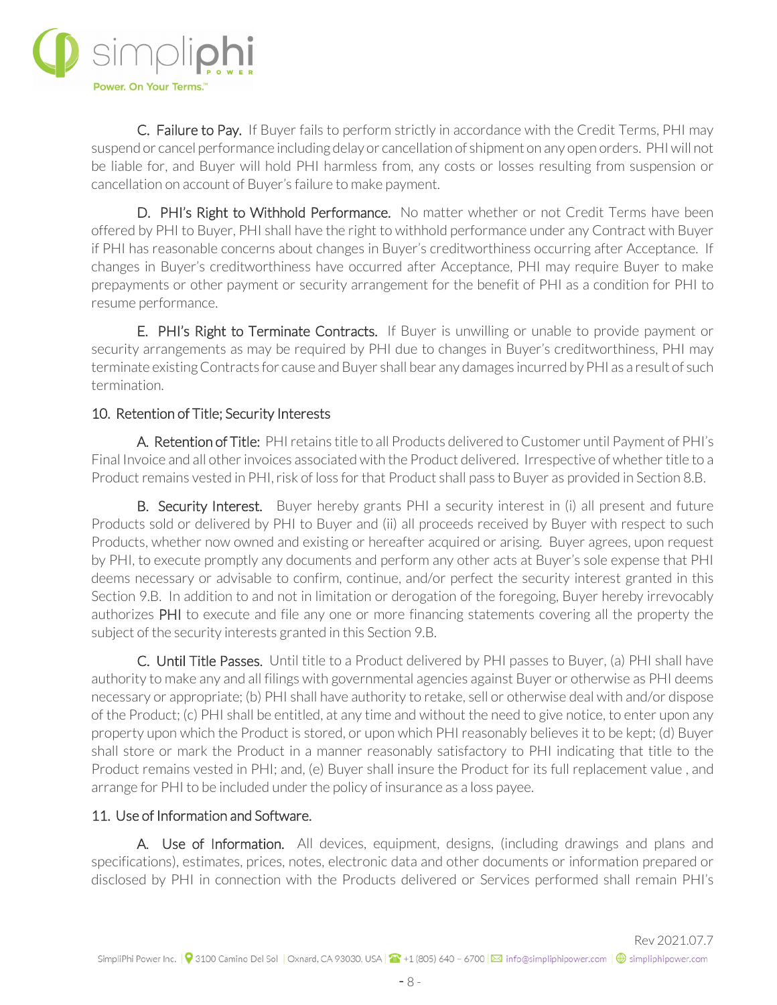

 C. Failure to Pay. If Buyer fails to perform strictly in accordance with the Credit Terms, PHI may suspend or cancel performance including delay or cancellation of shipment on any open orders. PHI will not be liable for, and Buyer will hold PHI harmless from, any costs or losses resulting from suspension or cancellation on account of Buyer's failure to make payment.

D. PHI's Right to Withhold Performance. No matter whether or not Credit Terms have been offered by PHI to Buyer, PHI shall have the right to withhold performance under any Contract with Buyer if PHI has reasonable concerns about changes in Buyer's creditworthiness occurring after Acceptance. If changes in Buyer's creditworthiness have occurred after Acceptance, PHI may require Buyer to make prepayments or other payment or security arrangement for the benefit of PHI as a condition for PHI to resume performance.

E. PHI's Right to Terminate Contracts. If Buyer is unwilling or unable to provide payment or security arrangements as may be required by PHI due to changes in Buyer's creditworthiness, PHI may terminate existing Contracts for cause and Buyer shall bear any damages incurred by PHI as a result of such termination.

## 10. Retention of Title; Security Interests

 A. Retention of Title: PHI retains title to all Products delivered to Customer until Payment of PHI's Final Invoice and all other invoices associated with the Product delivered. Irrespective of whether title to a Product remains vested in PHI, risk of loss for that Product shall pass to Buyer as provided in Section 8.B.

**B. Security Interest.** Buyer hereby grants PHI a security interest in (i) all present and future Products sold or delivered by PHI to Buyer and (ii) all proceeds received by Buyer with respect to such Products, whether now owned and existing or hereafter acquired or arising. Buyer agrees, upon request by PHI, to execute promptly any documents and perform any other acts at Buyer's sole expense that PHI deems necessary or advisable to confirm, continue, and/or perfect the security interest granted in this Section 9.B. In addition to and not in limitation or derogation of the foregoing, Buyer hereby irrevocably authorizes PHI to execute and file any one or more financing statements covering all the property the subject of the security interests granted in this Section 9.B.

C. Until Title Passes. Until title to a Product delivered by PHI passes to Buyer, (a) PHI shall have authority to make any and all filings with governmental agencies against Buyer or otherwise as PHI deems necessary or appropriate; (b) PHI shall have authority to retake, sell or otherwise deal with and/or dispose of the Product; (c) PHI shall be entitled, at any time and without the need to give notice, to enter upon any property upon which the Product is stored, or upon which PHI reasonably believes it to be kept; (d) Buyer shall store or mark the Product in a manner reasonably satisfactory to PHI indicating that title to the Product remains vested in PHI; and, (e) Buyer shall insure the Product for its full replacement value , and arrange for PHI to be included under the policy of insurance as a loss payee.

## 11. Use of Information and Software.

A. Use of Information. All devices, equipment, designs, (including drawings and plans and specifications), estimates, prices, notes, electronic data and other documents or information prepared or disclosed by PHI in connection with the Products delivered or Services performed shall remain PHI's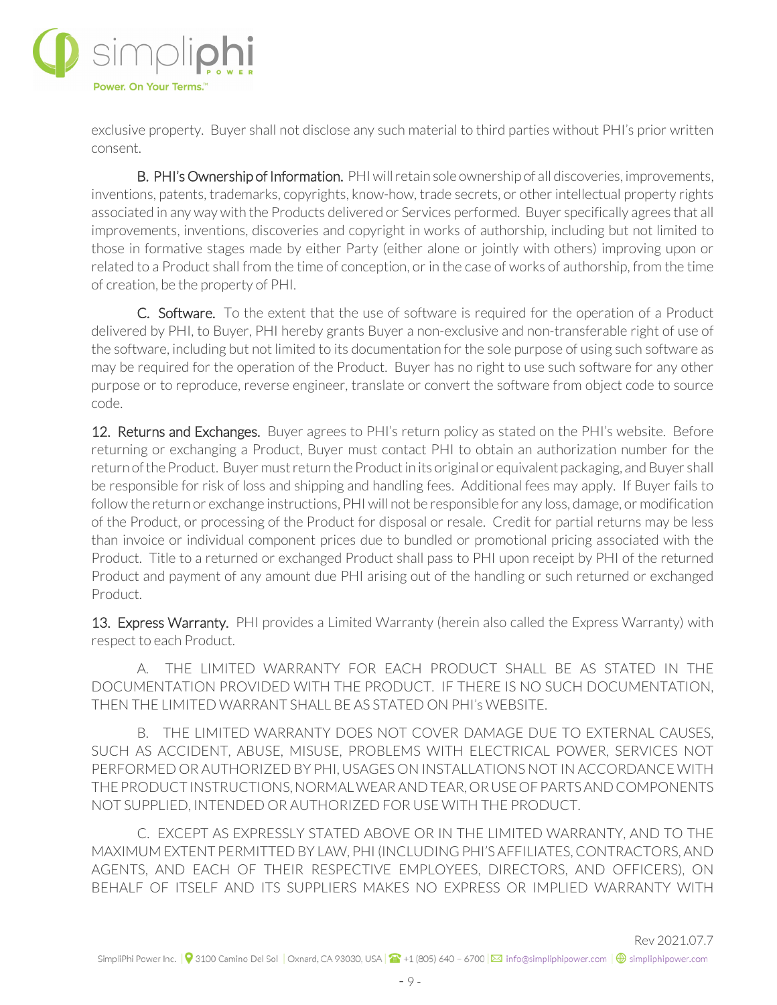

exclusive property. Buyer shall not disclose any such material to third parties without PHI's prior written consent.

B. PHI's Ownership of Information. PHI will retain sole ownership of all discoveries, improvements, inventions, patents, trademarks, copyrights, know-how, trade secrets, or other intellectual property rights associated in any way with the Products delivered or Services performed. Buyer specifically agrees that all improvements, inventions, discoveries and copyright in works of authorship, including but not limited to those in formative stages made by either Party (either alone or jointly with others) improving upon or related to a Product shall from the time of conception, or in the case of works of authorship, from the time of creation, be the property of PHI.

C. Software. To the extent that the use of software is required for the operation of a Product delivered by PHI, to Buyer, PHI hereby grants Buyer a non-exclusive and non-transferable right of use of the software, including but not limited to its documentation for the sole purpose of using such software as may be required for the operation of the Product. Buyer has no right to use such software for any other purpose or to reproduce, reverse engineer, translate or convert the software from object code to source code.

12. Returns and Exchanges. Buyer agrees to PHI's return policy as stated on the PHI's website. Before returning or exchanging a Product, Buyer must contact PHI to obtain an authorization number for the return of the Product. Buyer must return the Product in its original or equivalent packaging, and Buyer shall be responsible for risk of loss and shipping and handling fees. Additional fees may apply. If Buyer fails to follow the return or exchange instructions, PHI will not be responsible for any loss, damage, or modification of the Product, or processing of the Product for disposal or resale. Credit for partial returns may be less than invoice or individual component prices due to bundled or promotional pricing associated with the Product. Title to a returned or exchanged Product shall pass to PHI upon receipt by PHI of the returned Product and payment of any amount due PHI arising out of the handling or such returned or exchanged Product.

13. Express Warranty. PHI provides a Limited Warranty (herein also called the Express Warranty) with respect to each Product.

A. THE LIMITED WARRANTY FOR EACH PRODUCT SHALL BE AS STATED IN THE DOCUMENTATION PROVIDED WITH THE PRODUCT. IF THERE IS NO SUCH DOCUMENTATION, THEN THE LIMITED WARRANT SHALL BE AS STATED ON PHI's WEBSITE.

B. THE LIMITED WARRANTY DOES NOT COVER DAMAGE DUE TO EXTERNAL CAUSES, SUCH AS ACCIDENT, ABUSE, MISUSE, PROBLEMS WITH ELECTRICAL POWER, SERVICES NOT PERFORMED OR AUTHORIZED BY PHI, USAGES ON INSTALLATIONS NOT IN ACCORDANCE WITH THE PRODUCT INSTRUCTIONS, NORMAL WEAR AND TEAR, OR USE OF PARTS AND COMPONENTS NOT SUPPLIED, INTENDED OR AUTHORIZED FOR USE WITH THE PRODUCT.

C. EXCEPT AS EXPRESSLY STATED ABOVE OR IN THE LIMITED WARRANTY, AND TO THE MAXIMUM EXTENT PERMITTED BY LAW, PHI (INCLUDING PHI'S AFFILIATES, CONTRACTORS, AND AGENTS, AND EACH OF THEIR RESPECTIVE EMPLOYEES, DIRECTORS, AND OFFICERS), ON BEHALF OF ITSELF AND ITS SUPPLIERS MAKES NO EXPRESS OR IMPLIED WARRANTY WITH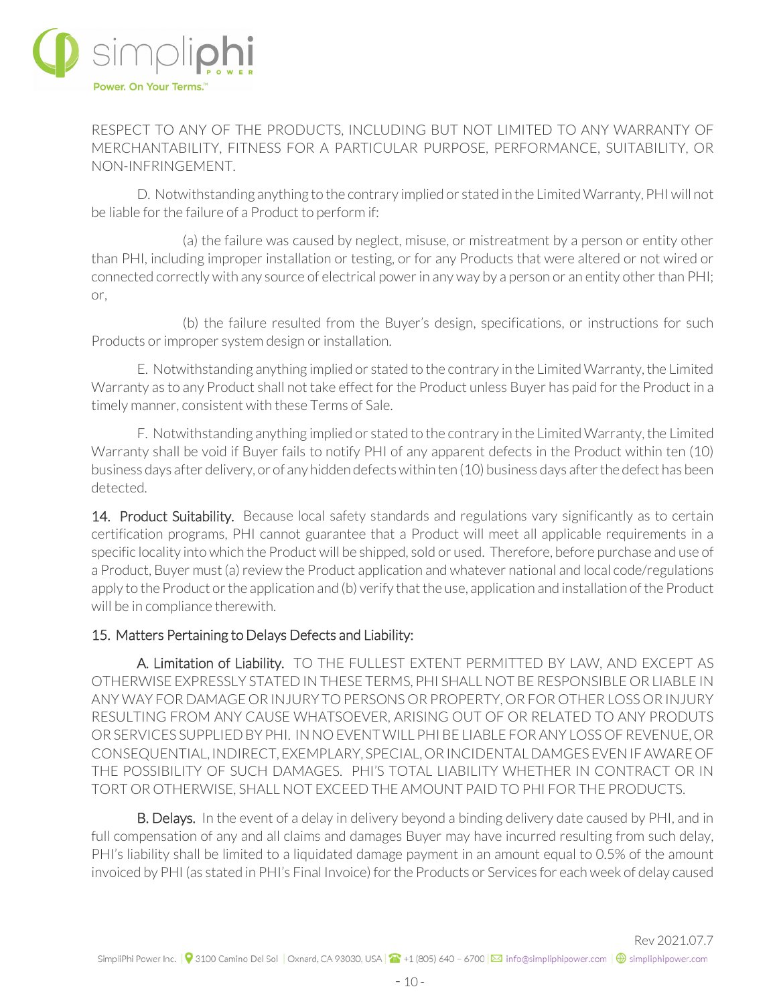

RESPECT TO ANY OF THE PRODUCTS, INCLUDING BUT NOT LIMITED TO ANY WARRANTY OF MERCHANTABILITY, FITNESS FOR A PARTICULAR PURPOSE, PERFORMANCE, SUITABILITY, OR NON-INFRINGEMENT.

D. Notwithstanding anything to the contrary implied or stated in the Limited Warranty, PHI will not be liable for the failure of a Product to perform if:

(a) the failure was caused by neglect, misuse, or mistreatment by a person or entity other than PHI, including improper installation or testing, or for any Products that were altered or not wired or connected correctly with any source of electrical power in any way by a person or an entity other than PHI; or,

(b) the failure resulted from the Buyer's design, specifications, or instructions for such Products or improper system design or installation.

E. Notwithstanding anything implied or stated to the contrary in the Limited Warranty, the Limited Warranty as to any Product shall not take effect for the Product unless Buyer has paid for the Product in a timely manner, consistent with these Terms of Sale.

F. Notwithstanding anything implied or stated to the contrary in the Limited Warranty, the Limited Warranty shall be void if Buyer fails to notify PHI of any apparent defects in the Product within ten (10) business days after delivery, or of any hidden defects within ten (10) business days after the defect has been detected.

14. Product Suitability. Because local safety standards and regulations vary significantly as to certain certification programs, PHI cannot guarantee that a Product will meet all applicable requirements in a specific locality into which the Product will be shipped, sold or used. Therefore, before purchase and use of a Product, Buyer must (a) review the Product application and whatever national and local code/regulations apply to the Product or the application and (b) verify that the use, application and installation of the Product will be in compliance therewith.

#### 15. Matters Pertaining to Delays Defects and Liability:

 A. Limitation of Liability. TO THE FULLEST EXTENT PERMITTED BY LAW, AND EXCEPT AS OTHERWISE EXPRESSLY STATED IN THESE TERMS, PHI SHALL NOT BE RESPONSIBLE OR LIABLE IN ANY WAY FOR DAMAGE OR INJURY TO PERSONS OR PROPERTY, OR FOR OTHER LOSS OR INJURY RESULTING FROM ANY CAUSE WHATSOEVER, ARISING OUT OF OR RELATED TO ANY PRODUTS OR SERVICES SUPPLIED BY PHI. IN NO EVENT WILL PHI BE LIABLE FOR ANY LOSS OF REVENUE, OR CONSEQUENTIAL, INDIRECT, EXEMPLARY, SPECIAL, OR INCIDENTAL DAMGES EVEN IF AWARE OF THE POSSIBILITY OF SUCH DAMAGES. PHI'S TOTAL LIABILITY WHETHER IN CONTRACT OR IN TORT OR OTHERWISE, SHALL NOT EXCEED THE AMOUNT PAID TO PHI FOR THE PRODUCTS.

B. Delays. In the event of a delay in delivery beyond a binding delivery date caused by PHI, and in full compensation of any and all claims and damages Buyer may have incurred resulting from such delay, PHI's liability shall be limited to a liquidated damage payment in an amount equal to 0.5% of the amount invoiced by PHI (as stated in PHI's Final Invoice) for the Products or Services for each week of delay caused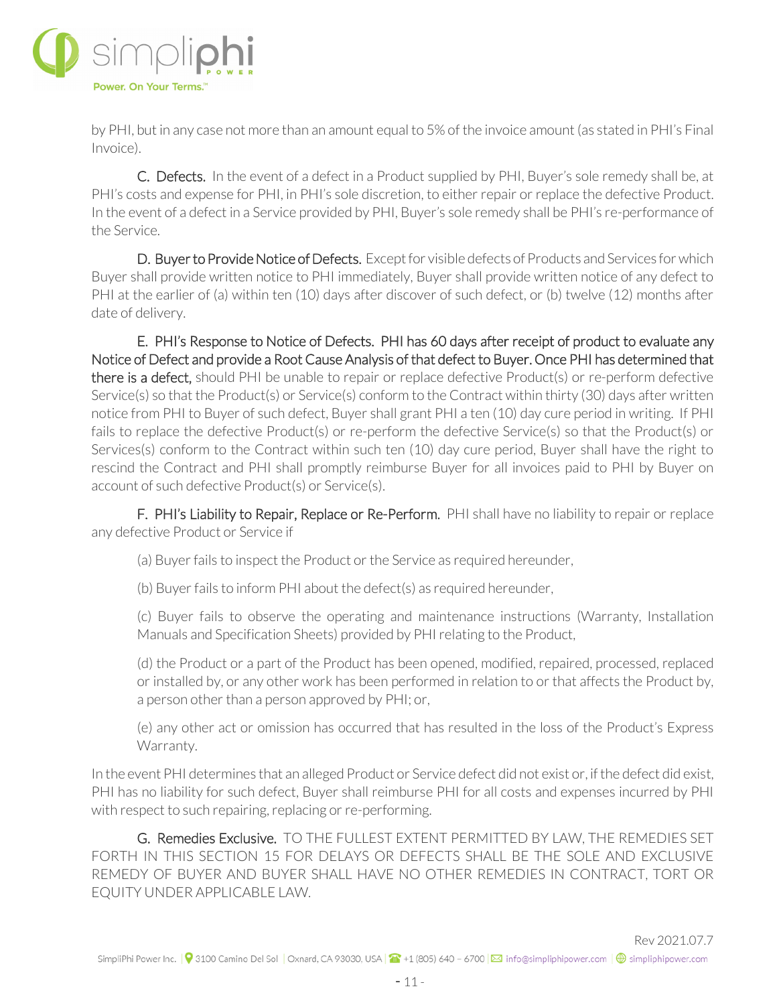

by PHI, but in any case not more than an amount equal to 5% of the invoice amount (as stated in PHI's Final Invoice).

C. Defects. In the event of a defect in a Product supplied by PHI, Buyer's sole remedy shall be, at PHI's costs and expense for PHI, in PHI's sole discretion, to either repair or replace the defective Product. In the event of a defect in a Service provided by PHI, Buyer's sole remedy shall be PHI's re-performance of the Service.

D. Buyer to Provide Notice of Defects. Except for visible defects of Products and Services for which Buyer shall provide written notice to PHI immediately, Buyer shall provide written notice of any defect to PHI at the earlier of (a) within ten (10) days after discover of such defect, or (b) twelve (12) months after date of delivery.

E. PHI's Response to Notice of Defects. PHI has 60 days after receipt of product to evaluate any Notice of Defect and provide a Root Cause Analysis of that defect to Buyer. Once PHI has determined that there is a defect, should PHI be unable to repair or replace defective Product(s) or re-perform defective Service(s) so that the Product(s) or Service(s) conform to the Contract within thirty (30) days after written notice from PHI to Buyer of such defect, Buyer shall grant PHI a ten (10) day cure period in writing. If PHI fails to replace the defective Product(s) or re-perform the defective Service(s) so that the Product(s) or Services(s) conform to the Contract within such ten (10) day cure period, Buyer shall have the right to rescind the Contract and PHI shall promptly reimburse Buyer for all invoices paid to PHI by Buyer on account of such defective Product(s) or Service(s).

F. PHI's Liability to Repair, Replace or Re-Perform. PHI shall have no liability to repair or replace any defective Product or Service if

(a) Buyer fails to inspect the Product or the Service as required hereunder,

(b) Buyer fails to inform PHI about the defect(s) as required hereunder,

(c) Buyer fails to observe the operating and maintenance instructions (Warranty, Installation Manuals and Specification Sheets) provided by PHI relating to the Product,

(d) the Product or a part of the Product has been opened, modified, repaired, processed, replaced or installed by, or any other work has been performed in relation to or that affects the Product by, a person other than a person approved by PHI; or,

(e) any other act or omission has occurred that has resulted in the loss of the Product's Express Warranty.

In the event PHI determines that an alleged Product or Service defect did not exist or, if the defect did exist, PHI has no liability for such defect, Buyer shall reimburse PHI for all costs and expenses incurred by PHI with respect to such repairing, replacing or re-performing.

G. Remedies Exclusive. TO THE FULLEST EXTENT PERMITTED BY LAW, THE REMEDIES SET FORTH IN THIS SECTION 15 FOR DELAYS OR DEFECTS SHALL BE THE SOLE AND EXCLUSIVE REMEDY OF BUYER AND BUYER SHALL HAVE NO OTHER REMEDIES IN CONTRACT, TORT OR EQUITY UNDER APPLICABLE LAW.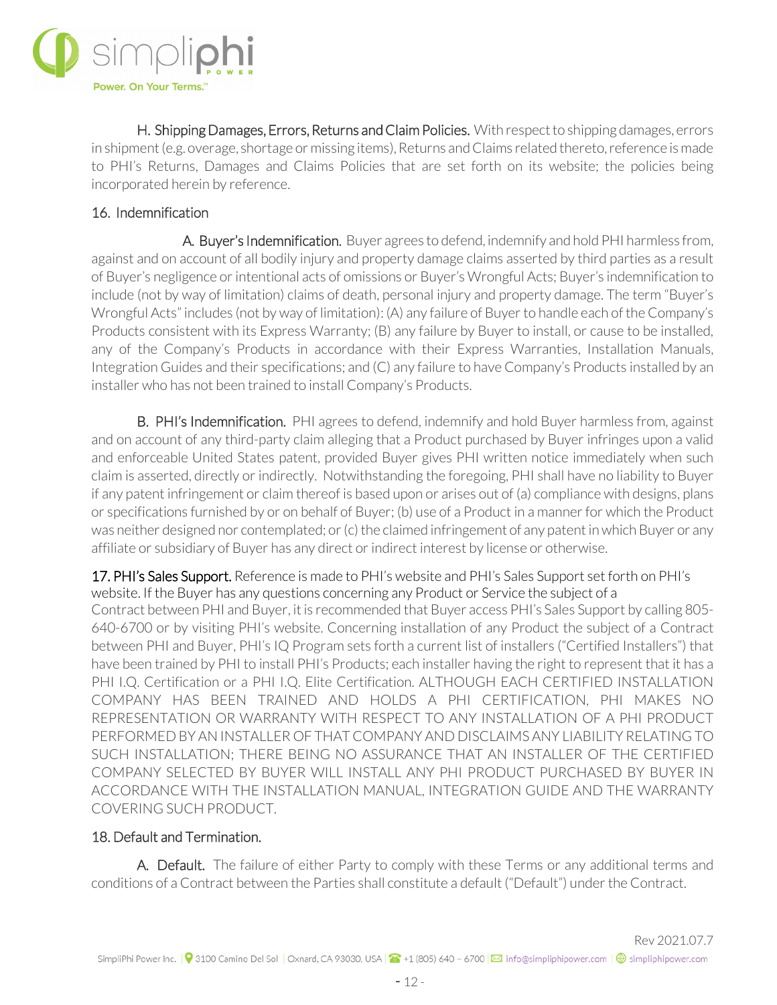

H. Shipping Damages, Errors, Returns and Claim Policies. With respect to shipping damages, errors in shipment (e.g. overage, shortage or missing items), Returns and Claims related thereto, reference is made to PHI's Returns, Damages and Claims Policies that are set forth on its website; the policies being incorporated herein by reference.

## 16. Indemnification

 A. Buyer's Indemnification. Buyer agrees to defend, indemnify and hold PHI harmless from, against and on account of all bodily injury and property damage claims asserted by third parties as a result of Buyer's negligence or intentional acts of omissions or Buyer's Wrongful Acts; Buyer's indemnification to include (not by way of limitation) claims of death, personal injury and property damage. The term "Buyer's Wrongful Acts" includes (not by way of limitation): (A) any failure of Buyer to handle each of the Company's Products consistent with its Express Warranty; (B) any failure by Buyer to install, or cause to be installed, any of the Company's Products in accordance with their Express Warranties, Installation Manuals, Integration Guides and their specifications; and (C) any failure to have Company's Products installed by an installer who has not been trained to install Company's Products.

**B. PHI's Indemnification.** PHI agrees to defend, indemnify and hold Buyer harmless from, against and on account of any third-party claim alleging that a Product purchased by Buyer infringes upon a valid and enforceable United States patent, provided Buyer gives PHI written notice immediately when such claim is asserted, directly or indirectly. Notwithstanding the foregoing, PHI shall have no liability to Buyer if any patent infringement or claim thereof is based upon or arises out of (a) compliance with designs, plans or specifications furnished by or on behalf of Buyer; (b) use of a Product in a manner for which the Product was neither designed nor contemplated; or (c) the claimed infringement of any patent in which Buyer or any affiliate or subsidiary of Buyer has any direct or indirect interest by license or otherwise.

17. PHI's Sales Support. Reference is made to PHI's website and PHI's Sales Support set forth on PHI's website. If the Buyer has any questions concerning any Product or Service the subject of a Contract between PHI and Buyer, it is recommended that Buyer access PHI's Sales Support by calling 805- 640-6700 or by visiting PHI's website. Concerning installation of any Product the subject of a Contract between PHI and Buyer, PHI's IQ Program sets forth a current list of installers ("Certified Installers") that have been trained by PHI to install PHI's Products; each installer having the right to represent that it has a PHI I.Q. Certification or a PHI I.Q. Elite Certification. ALTHOUGH EACH CERTIFIED INSTALLATION COMPANY HAS BEEN TRAINED AND HOLDS A PHI CERTIFICATION, PHI MAKES NO REPRESENTATION OR WARRANTY WITH RESPECT TO ANY INSTALLATION OF A PHI PRODUCT PERFORMED BY AN INSTALLER OF THAT COMPANY AND DISCLAIMS ANY LIABILITY RELATING TO SUCH INSTALLATION; THERE BEING NO ASSURANCE THAT AN INSTALLER OF THE CERTIFIED COMPANY SELECTED BY BUYER WILL INSTALL ANY PHI PRODUCT PURCHASED BY BUYER IN ACCORDANCE WITH THE INSTALLATION MANUAL, INTEGRATION GUIDE AND THE WARRANTY COVERING SUCH PRODUCT.

#### 18. Default and Termination.

A. Default. The failure of either Party to comply with these Terms or any additional terms and conditions of a Contract between the Parties shall constitute a default ("Default") under the Contract.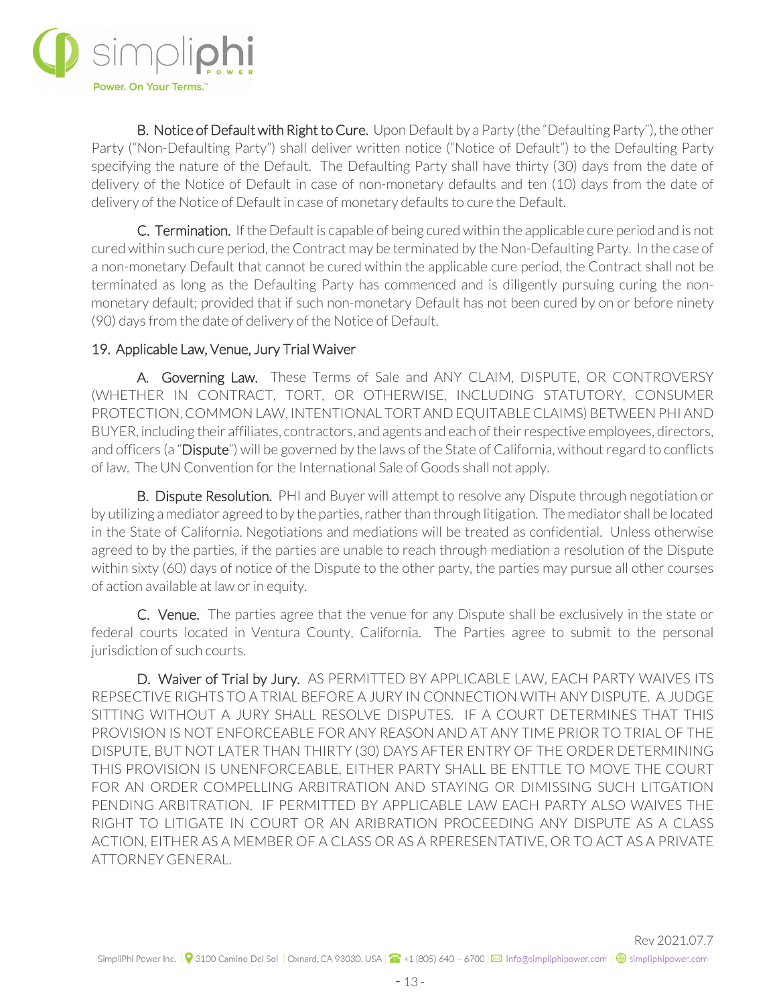

**B. Notice of Default with Right to Cure.** Upon Default by a Party (the "Defaulting Party"), the other Party ("Non-Defaulting Party") shall deliver written notice ("Notice of Default") to the Defaulting Party specifying the nature of the Default. The Defaulting Party shall have thirty (30) days from the date of delivery of the Notice of Default in case of non-monetary defaults and ten (10) days from the date of delivery of the Notice of Default in case of monetary defaults to cure the Default.

C. Termination. If the Default is capable of being cured within the applicable cure period and is not cured within such cure period, the Contract may be terminated by the Non-Defaulting Party. In the case of a non-monetary Default that cannot be cured within the applicable cure period, the Contract shall not be terminated as long as the Defaulting Party has commenced and is diligently pursuing curing the nonmonetary default; provided that if such non-monetary Default has not been cured by on or before ninety (90) days from the date of delivery of the Notice of Default.

## 19. Applicable Law, Venue, Jury Trial Waiver

 A. Governing Law. These Terms of Sale and ANY CLAIM, DISPUTE, OR CONTROVERSY (WHETHER IN CONTRACT, TORT, OR OTHERWISE, INCLUDING STATUTORY, CONSUMER PROTECTION, COMMON LAW, INTENTIONAL TORT AND EQUITABLE CLAIMS) BETWEEN PHI AND BUYER, including their affiliates, contractors, and agents and each of their respective employees, directors, and officers (a "Dispute") will be governed by the laws of the State of California, without regard to conflicts of law. The UN Convention for the International Sale of Goods shall not apply.

B. Dispute Resolution. PHI and Buyer will attempt to resolve any Dispute through negotiation or by utilizing a mediator agreed to by the parties, rather than through litigation. The mediator shall be located in the State of California. Negotiations and mediations will be treated as confidential. Unless otherwise agreed to by the parties, if the parties are unable to reach through mediation a resolution of the Dispute within sixty (60) days of notice of the Dispute to the other party, the parties may pursue all other courses of action available at law or in equity.

C. Venue. The parties agree that the venue for any Dispute shall be exclusively in the state or federal courts located in Ventura County, California. The Parties agree to submit to the personal jurisdiction of such courts.

D. Waiver of Trial by Jury. AS PERMITTED BY APPLICABLE LAW, EACH PARTY WAIVES ITS REPSECTIVE RIGHTS TO A TRIAL BEFORE A JURY IN CONNECTION WITH ANY DISPUTE. A JUDGE SITTING WITHOUT A JURY SHALL RESOLVE DISPUTES. IF A COURT DETERMINES THAT THIS PROVISION IS NOT ENFORCEABLE FOR ANY REASON AND AT ANY TIME PRIOR TO TRIAL OF THE DISPUTE, BUT NOT LATER THAN THIRTY (30) DAYS AFTER ENTRY OF THE ORDER DETERMINING THIS PROVISION IS UNENFORCEABLE, EITHER PARTY SHALL BE ENTTLE TO MOVE THE COURT FOR AN ORDER COMPELLING ARBITRATION AND STAYING OR DIMISSING SUCH LITGATION PENDING ARBITRATION. IF PERMITTED BY APPLICABLE LAW EACH PARTY ALSO WAIVES THE RIGHT TO LITIGATE IN COURT OR AN ARIBRATION PROCEEDING ANY DISPUTE AS A CLASS ACTION, EITHER AS A MEMBER OF A CLASS OR AS A RPERESENTATIVE, OR TO ACT AS A PRIVATE ATTORNEY GENERAL.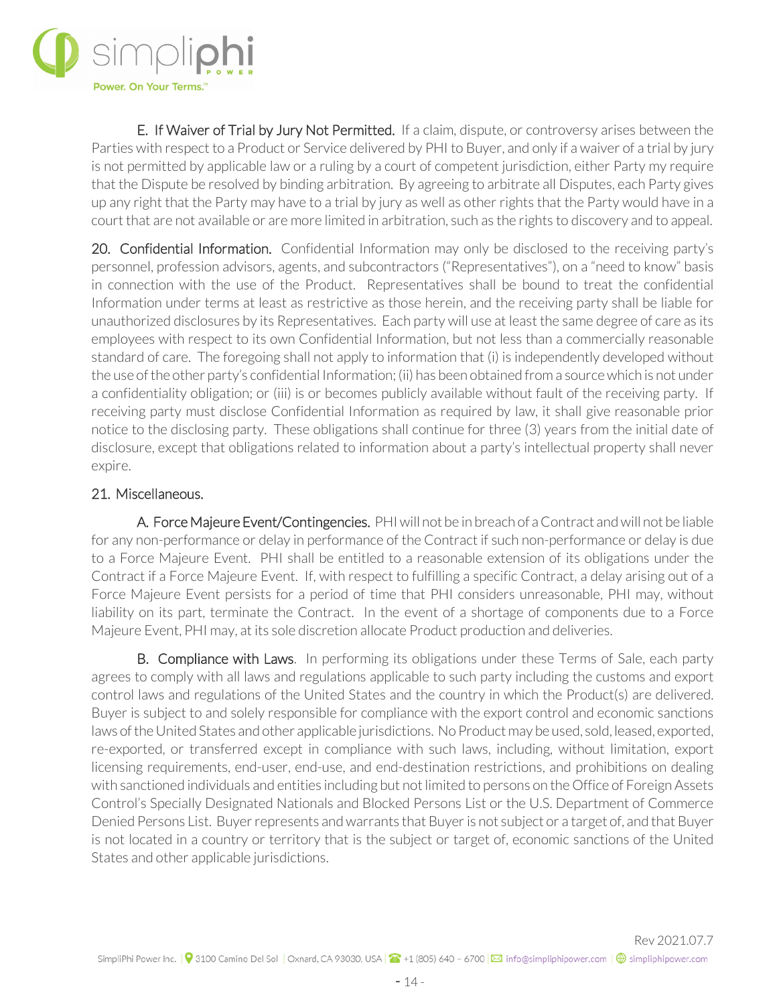

E. If Waiver of Trial by Jury Not Permitted. If a claim, dispute, or controversy arises between the Parties with respect to a Product or Service delivered by PHI to Buyer, and only if a waiver of a trial by jury is not permitted by applicable law or a ruling by a court of competent jurisdiction, either Party my require that the Dispute be resolved by binding arbitration. By agreeing to arbitrate all Disputes, each Party gives up any right that the Party may have to a trial by jury as well as other rights that the Party would have in a court that are not available or are more limited in arbitration, such as the rights to discovery and to appeal.

20. Confidential Information. Confidential Information may only be disclosed to the receiving party's personnel, profession advisors, agents, and subcontractors ("Representatives"), on a "need to know" basis in connection with the use of the Product. Representatives shall be bound to treat the confidential Information under terms at least as restrictive as those herein, and the receiving party shall be liable for unauthorized disclosures by its Representatives. Each party will use at least the same degree of care as its employees with respect to its own Confidential Information, but not less than a commercially reasonable standard of care. The foregoing shall not apply to information that (i) is independently developed without the use of the other party's confidential Information; (ii) has been obtained from a source which is not under a confidentiality obligation; or (iii) is or becomes publicly available without fault of the receiving party. If receiving party must disclose Confidential Information as required by law, it shall give reasonable prior notice to the disclosing party. These obligations shall continue for three (3) years from the initial date of disclosure, except that obligations related to information about a party's intellectual property shall never expire.

#### 21. Miscellaneous.

A. Force Majeure Event/Contingencies. PHI will not be in breach of a Contract and will not be liable for any non-performance or delay in performance of the Contract if such non-performance or delay is due to a Force Majeure Event. PHI shall be entitled to a reasonable extension of its obligations under the Contract if a Force Majeure Event. If, with respect to fulfilling a specific Contract, a delay arising out of a Force Majeure Event persists for a period of time that PHI considers unreasonable, PHI may, without liability on its part, terminate the Contract. In the event of a shortage of components due to a Force Majeure Event, PHI may, at its sole discretion allocate Product production and deliveries.

B. Compliance with Laws. In performing its obligations under these Terms of Sale, each party agrees to comply with all laws and regulations applicable to such party including the customs and export control laws and regulations of the United States and the country in which the Product(s) are delivered. Buyer is subject to and solely responsible for compliance with the export control and economic sanctions laws of the United States and other applicable jurisdictions. No Product may be used, sold, leased, exported, re-exported, or transferred except in compliance with such laws, including, without limitation, export licensing requirements, end-user, end-use, and end-destination restrictions, and prohibitions on dealing with sanctioned individuals and entities including but not limited to persons on the Office of Foreign Assets Control's Specially Designated Nationals and Blocked Persons List or the U.S. Department of Commerce Denied Persons List. Buyer represents and warrants that Buyer is not subject or a target of, and that Buyer is not located in a country or territory that is the subject or target of, economic sanctions of the United States and other applicable jurisdictions.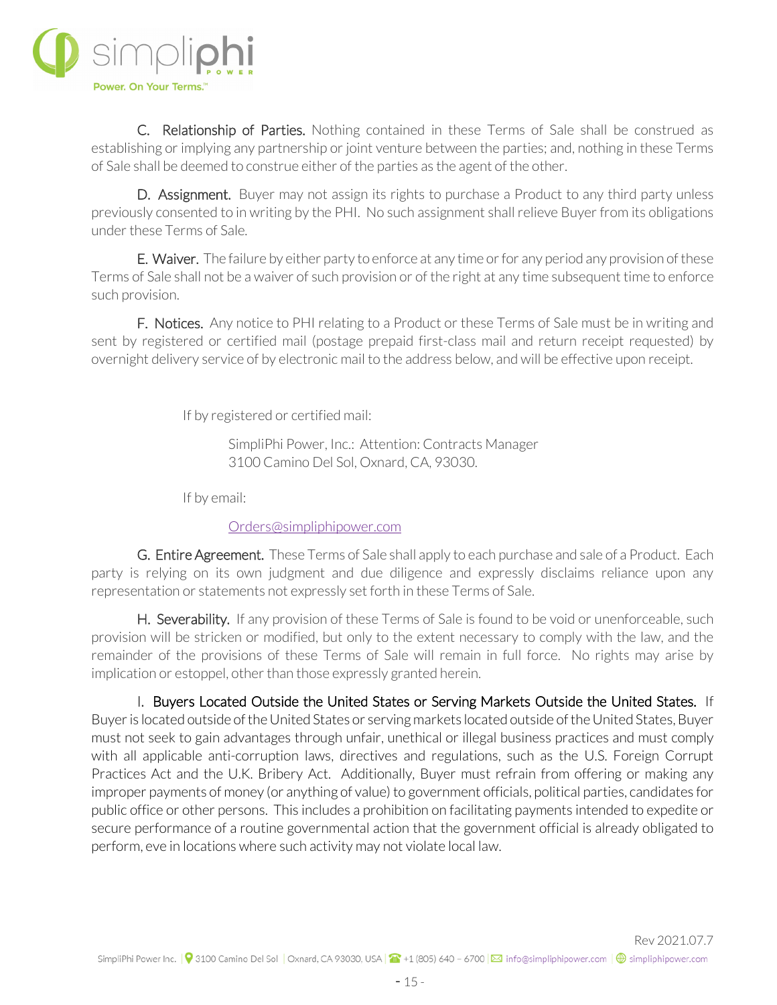

 C. Relationship of Parties. Nothing contained in these Terms of Sale shall be construed as establishing or implying any partnership or joint venture between the parties; and, nothing in these Terms of Sale shall be deemed to construe either of the parties as the agent of the other.

D. Assignment. Buyer may not assign its rights to purchase a Product to any third party unless previously consented to in writing by the PHI. No such assignment shall relieve Buyer from its obligations under these Terms of Sale.

E. Waiver. The failure by either party to enforce at any time or for any period any provision of these Terms of Sale shall not be a waiver of such provision or of the right at any time subsequent time to enforce such provision.

F. Notices. Any notice to PHI relating to a Product or these Terms of Sale must be in writing and sent by registered or certified mail (postage prepaid first-class mail and return receipt requested) by overnight delivery service of by electronic mail to the address below, and will be effective upon receipt.

If by registered or certified mail:

SimpliPhi Power, Inc.: Attention: Contracts Manager 3100 Camino Del Sol, Oxnard, CA, 93030.

If by email:

#### [Orders@simpliphipower.com](mailto:Orders@simpliphipower.com)

G. Entire Agreement. These Terms of Sale shall apply to each purchase and sale of a Product. Each party is relying on its own judgment and due diligence and expressly disclaims reliance upon any representation or statements not expressly set forth in these Terms of Sale.

H. Severability. If any provision of these Terms of Sale is found to be void or unenforceable, such provision will be stricken or modified, but only to the extent necessary to comply with the law, and the remainder of the provisions of these Terms of Sale will remain in full force. No rights may arise by implication or estoppel, other than those expressly granted herein.

I. Buyers Located Outside the United States or Serving Markets Outside the United States. If Buyer is located outside of the United States or serving markets located outside of the United States, Buyer must not seek to gain advantages through unfair, unethical or illegal business practices and must comply with all applicable anti-corruption laws, directives and regulations, such as the U.S. Foreign Corrupt Practices Act and the U.K. Bribery Act. Additionally, Buyer must refrain from offering or making any improper payments of money (or anything of value) to government officials, political parties, candidates for public office or other persons. This includes a prohibition on facilitating payments intended to expedite or secure performance of a routine governmental action that the government official is already obligated to perform, eve in locations where such activity may not violate local law.